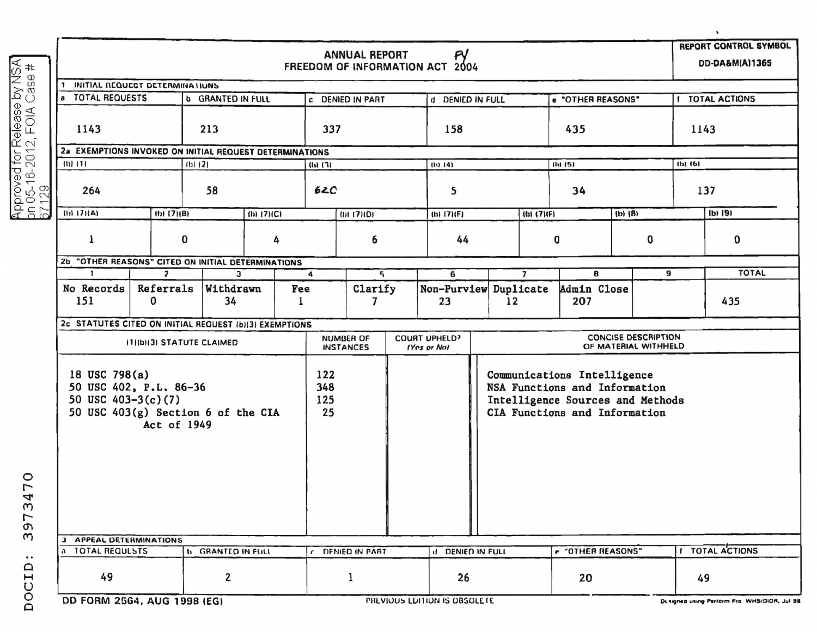|                                                                    |                                                                                                                             |                                                               |                          |                          |                  |                                      |                              |                                                                                                                                   |                |                    |     |                                                    |                        | $\blacksquare$                              |  |
|--------------------------------------------------------------------|-----------------------------------------------------------------------------------------------------------------------------|---------------------------------------------------------------|--------------------------|--------------------------|------------------|--------------------------------------|------------------------------|-----------------------------------------------------------------------------------------------------------------------------------|----------------|--------------------|-----|----------------------------------------------------|------------------------|---------------------------------------------|--|
|                                                                    |                                                                                                                             | <b>ANNUAL REPORT</b><br>PY<br>FREEDOM OF INFORMATION ACT 2004 |                          |                          |                  |                                      |                              |                                                                                                                                   |                |                    |     |                                                    |                        |                                             |  |
|                                                                    |                                                                                                                             |                                                               |                          |                          |                  |                                      |                              |                                                                                                                                   |                |                    |     |                                                    |                        |                                             |  |
|                                                                    | 1 INITIAL REQUEST DETERMINATIONS<br>a TOTAL REQUESTS                                                                        |                                                               |                          |                          |                  |                                      |                              |                                                                                                                                   |                |                    |     |                                                    |                        |                                             |  |
|                                                                    |                                                                                                                             |                                                               | <b>b</b> GRANTED IN FULL |                          |                  | c DENIED IN PART                     | d DENIED IN FULL             |                                                                                                                                   |                | e "OTHER REASONS"  |     |                                                    | <b>I TOTAL ACTIONS</b> |                                             |  |
| Approved for Release by NSA<br>on 05-16-2012, FOIA Case #<br>67129 | 1143                                                                                                                        |                                                               | 213                      |                          | 337              |                                      |                              | 158                                                                                                                               |                |                    | 435 |                                                    |                        | 1143                                        |  |
|                                                                    | 2a EXEMPTIONS INVOKED ON INITIAL REQUEST DETERMINATIONS                                                                     |                                                               |                          |                          |                  |                                      |                              |                                                                                                                                   |                |                    |     |                                                    |                        |                                             |  |
|                                                                    | $(b)$ $(1)$                                                                                                                 |                                                               | $(b)$ $(2)$              |                          | $(b)$ $(3)$      |                                      | $(h)$ (4)                    |                                                                                                                                   |                | $(h)$ (5)          |     |                                                    | $(b)$ $(6)$            |                                             |  |
|                                                                    | 264                                                                                                                         |                                                               | 58                       |                          | 62C              |                                      |                              | 5                                                                                                                                 |                | 34                 |     | 137                                                |                        |                                             |  |
|                                                                    | (b) 171(A)<br>$(b)$ $(7)(B)$                                                                                                |                                                               | $(b)$ (7)(C)             |                          | $(D)$ (7)( $D$ ) |                                      |                              | (b) 17)(F)                                                                                                                        |                | (h1(7)(F)          |     | $(b)$ $(B)$                                        |                        | $1b)$ $191$                                 |  |
|                                                                    |                                                                                                                             |                                                               |                          |                          |                  |                                      |                              |                                                                                                                                   |                |                    |     |                                                    |                        |                                             |  |
|                                                                    | 1                                                                                                                           | 0<br>4                                                        |                          |                          | 6                |                                      | 44                           |                                                                                                                                   |                | 0                  |     | 0                                                  |                        | $\mathbf 0$                                 |  |
|                                                                    | <b>2b "OTHER REASONS" CITED ON INITIAL DETERMINATIONS</b>                                                                   |                                                               |                          |                          |                  |                                      |                              |                                                                                                                                   |                |                    |     |                                                    |                        |                                             |  |
|                                                                    | п.                                                                                                                          | $\overline{z}$                                                |                          | $\mathbf{3}$             |                  | 5                                    |                              | 6                                                                                                                                 | $\overline{7}$ |                    | 8   |                                                    | 9                      | <b>TOTAL</b>                                |  |
|                                                                    | No Records<br>151                                                                                                           | Referrals<br>Withdrawn<br>34<br>0                             |                          | Fee<br>1                 | Clarify<br>7     |                                      |                              | Non-Purview Duplicate<br>23                                                                                                       | 12             | Admin Close<br>207 |     |                                                    |                        | 435                                         |  |
|                                                                    | 2c STATUTES CITED ON INITIAL REQUEST (b)(3) EXEMPTIONS                                                                      |                                                               |                          |                          |                  |                                      |                              |                                                                                                                                   |                |                    |     |                                                    |                        |                                             |  |
|                                                                    | (1)(b)(3) STATUTE CLAIMED                                                                                                   |                                                               |                          |                          |                  | <b>NUMBER OF</b><br><b>INSTANCES</b> |                              | <b>COURT UPHELD?</b><br>(Yes or No)                                                                                               |                |                    |     | <b>CONCISE DESCRIPTION</b><br>OF MATERIAL WITHHELD |                        |                                             |  |
| $\circ$<br>∼<br>4                                                  | 18 USC 798(a)<br>50 USC 402, P.L. 86-36<br>50 USC $403-3(c)(7)$<br>50 USC 403(g) Section 6 of the CIA<br><b>Act of 1949</b> |                                                               |                          |                          |                  |                                      |                              | Communications Intelligence<br>NSA Functions and Information<br>Intelligence Sources and Methods<br>CIA Functions and Information |                |                    |     |                                                    |                        |                                             |  |
| $\omega$<br>$\overline{ }$<br>e.<br>$\omega$                       | 3 APPEAL DETERMINATIONS                                                                                                     |                                                               |                          |                          |                  |                                      |                              |                                                                                                                                   |                |                    |     |                                                    |                        |                                             |  |
| $\bullet\;\bullet$                                                 | a TOTAL REQUESTS                                                                                                            |                                                               |                          | <b>b</b> GRANTED IN FULL |                  | C DENIED IN PART                     |                              | <b>IF DENIED IN FULL</b>                                                                                                          |                | e "OTHER REASONS"  |     |                                                    | 1 TOTAL ACTIONS        |                                             |  |
| OCID                                                               | 49                                                                                                                          |                                                               | $\mathbf{2}$             |                          |                  | 1                                    |                              | 26                                                                                                                                |                | 20                 |     |                                                    | 49                     |                                             |  |
|                                                                    |                                                                                                                             | DD FORM 2564, AUG 1998 (FG)                                   |                          |                          |                  |                                      | PREVIOUS EDITION IS OBSOLETE |                                                                                                                                   |                |                    |     |                                                    |                        | Designed using Perform Pro WHS/DIOR, Jul 98 |  |